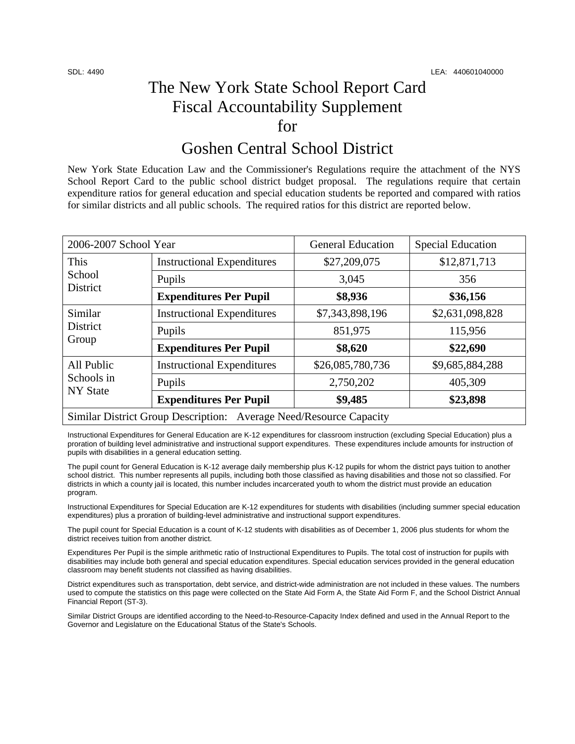## The New York State School Report Card Fiscal Accountability Supplement for

### Goshen Central School District

New York State Education Law and the Commissioner's Regulations require the attachment of the NYS School Report Card to the public school district budget proposal. The regulations require that certain expenditure ratios for general education and special education students be reported and compared with ratios for similar districts and all public schools. The required ratios for this district are reported below.

| 2006-2007 School Year                                              |                                   | <b>General Education</b> | <b>Special Education</b> |  |
|--------------------------------------------------------------------|-----------------------------------|--------------------------|--------------------------|--|
| This<br>School<br>District                                         | <b>Instructional Expenditures</b> | \$27,209,075             | \$12,871,713             |  |
|                                                                    | Pupils                            | 3,045                    | 356                      |  |
|                                                                    | <b>Expenditures Per Pupil</b>     | \$8,936                  | \$36,156                 |  |
| Similar<br><b>District</b><br>Group                                | <b>Instructional Expenditures</b> | \$7,343,898,196          | \$2,631,098,828          |  |
|                                                                    | Pupils                            | 851,975                  | 115,956                  |  |
|                                                                    | <b>Expenditures Per Pupil</b>     | \$8,620                  | \$22,690                 |  |
| All Public<br>Schools in<br><b>NY State</b>                        | <b>Instructional Expenditures</b> | \$26,085,780,736         | \$9,685,884,288          |  |
|                                                                    | Pupils                            | 2,750,202                | 405,309                  |  |
|                                                                    | <b>Expenditures Per Pupil</b>     | \$9,485                  | \$23,898                 |  |
| Similar District Group Description: Average Need/Resource Capacity |                                   |                          |                          |  |

Instructional Expenditures for General Education are K-12 expenditures for classroom instruction (excluding Special Education) plus a proration of building level administrative and instructional support expenditures. These expenditures include amounts for instruction of pupils with disabilities in a general education setting.

The pupil count for General Education is K-12 average daily membership plus K-12 pupils for whom the district pays tuition to another school district. This number represents all pupils, including both those classified as having disabilities and those not so classified. For districts in which a county jail is located, this number includes incarcerated youth to whom the district must provide an education program.

Instructional Expenditures for Special Education are K-12 expenditures for students with disabilities (including summer special education expenditures) plus a proration of building-level administrative and instructional support expenditures.

The pupil count for Special Education is a count of K-12 students with disabilities as of December 1, 2006 plus students for whom the district receives tuition from another district.

Expenditures Per Pupil is the simple arithmetic ratio of Instructional Expenditures to Pupils. The total cost of instruction for pupils with disabilities may include both general and special education expenditures. Special education services provided in the general education classroom may benefit students not classified as having disabilities.

District expenditures such as transportation, debt service, and district-wide administration are not included in these values. The numbers used to compute the statistics on this page were collected on the State Aid Form A, the State Aid Form F, and the School District Annual Financial Report (ST-3).

Similar District Groups are identified according to the Need-to-Resource-Capacity Index defined and used in the Annual Report to the Governor and Legislature on the Educational Status of the State's Schools.